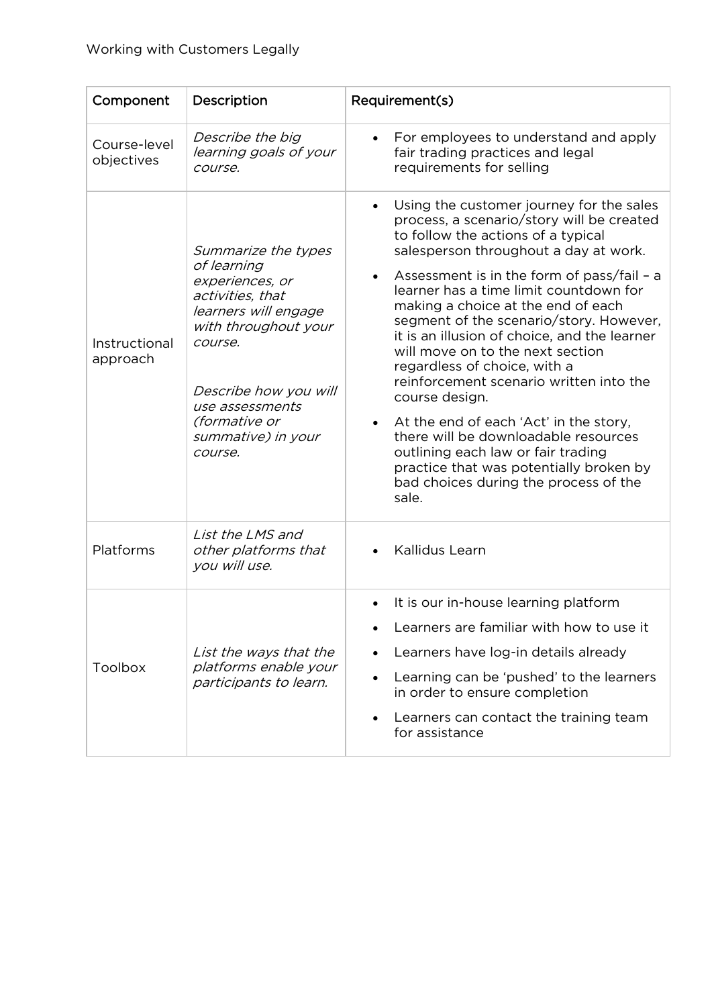| Component                  | Description                                                                                                                                                                                                                               | Requirement(s)                                                                                                                                                                                                                                                                                                                                                                                                                                                                                                                                                                                                                                                                                                                                                                |
|----------------------------|-------------------------------------------------------------------------------------------------------------------------------------------------------------------------------------------------------------------------------------------|-------------------------------------------------------------------------------------------------------------------------------------------------------------------------------------------------------------------------------------------------------------------------------------------------------------------------------------------------------------------------------------------------------------------------------------------------------------------------------------------------------------------------------------------------------------------------------------------------------------------------------------------------------------------------------------------------------------------------------------------------------------------------------|
| Course-level<br>objectives | Describe the big<br>learning goals of your<br>course.                                                                                                                                                                                     | For employees to understand and apply<br>fair trading practices and legal<br>requirements for selling                                                                                                                                                                                                                                                                                                                                                                                                                                                                                                                                                                                                                                                                         |
| Instructional<br>approach  | Summarize the types<br>of learning<br>experiences, or<br>activities, that<br>learners will engage<br>with throughout your<br>course.<br>Describe how you will<br>use assessments<br><i>(formative or</i><br>summative) in your<br>course. | Using the customer journey for the sales<br>$\bullet$<br>process, a scenario/story will be created<br>to follow the actions of a typical<br>salesperson throughout a day at work.<br>Assessment is in the form of pass/fail - a<br>$\bullet$<br>learner has a time limit countdown for<br>making a choice at the end of each<br>segment of the scenario/story. However,<br>it is an illusion of choice, and the learner<br>will move on to the next section<br>regardless of choice, with a<br>reinforcement scenario written into the<br>course design.<br>At the end of each 'Act' in the story,<br>there will be downloadable resources<br>outlining each law or fair trading<br>practice that was potentially broken by<br>bad choices during the process of the<br>sale. |
| Platforms                  | List the LMS and<br>other platforms that<br>you will use.                                                                                                                                                                                 | Kallidus Learn                                                                                                                                                                                                                                                                                                                                                                                                                                                                                                                                                                                                                                                                                                                                                                |
| Toolbox                    | List the ways that the<br>platforms enable your<br>participants to learn.                                                                                                                                                                 | It is our in-house learning platform<br>Learners are familiar with how to use it<br>Learners have log-in details already<br>Learning can be 'pushed' to the learners<br>$\bullet$<br>in order to ensure completion<br>Learners can contact the training team<br>for assistance                                                                                                                                                                                                                                                                                                                                                                                                                                                                                                |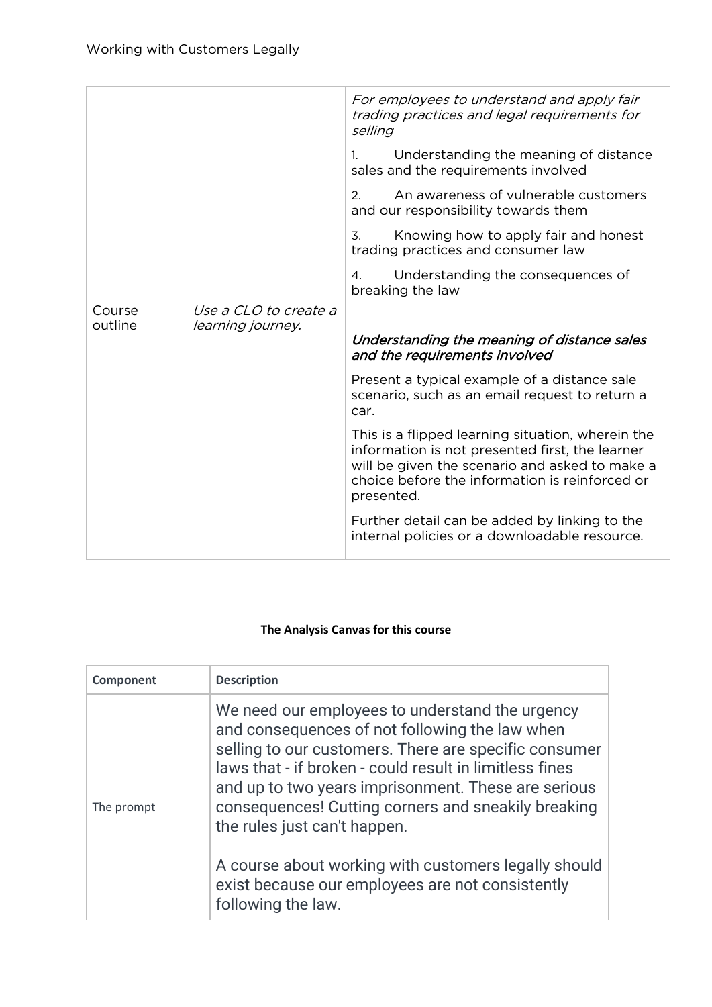|         |                              | For employees to understand and apply fair<br>trading practices and legal requirements for<br>selling                                                                                                                  |
|---------|------------------------------|------------------------------------------------------------------------------------------------------------------------------------------------------------------------------------------------------------------------|
|         |                              | Understanding the meaning of distance<br>$1_{\cdot}$<br>sales and the requirements involved                                                                                                                            |
|         |                              | An awareness of vulnerable customers<br>2.<br>and our responsibility towards them                                                                                                                                      |
|         |                              | Knowing how to apply fair and honest<br>3.<br>trading practices and consumer law                                                                                                                                       |
|         |                              | Understanding the consequences of<br>4.<br>breaking the law                                                                                                                                                            |
| Course  | <i>Use a CLO to create a</i> |                                                                                                                                                                                                                        |
|         |                              |                                                                                                                                                                                                                        |
| outline | learning journey.            | Understanding the meaning of distance sales<br>and the requirements involved                                                                                                                                           |
|         |                              | Present a typical example of a distance sale<br>scenario, such as an email request to return a<br>car.                                                                                                                 |
|         |                              | This is a flipped learning situation, wherein the<br>information is not presented first, the learner<br>will be given the scenario and asked to make a<br>choice before the information is reinforced or<br>presented. |

## **The Analysis Canvas for this course**

| Component  | <b>Description</b>                                                                                                                                                                                                                                                                                                                                                                                                                                                                                    |
|------------|-------------------------------------------------------------------------------------------------------------------------------------------------------------------------------------------------------------------------------------------------------------------------------------------------------------------------------------------------------------------------------------------------------------------------------------------------------------------------------------------------------|
| The prompt | We need our employees to understand the urgency<br>and consequences of not following the law when<br>selling to our customers. There are specific consumer<br>laws that - if broken - could result in limitless fines<br>and up to two years imprisonment. These are serious<br>consequences! Cutting corners and sneakily breaking<br>the rules just can't happen.<br>A course about working with customers legally should<br>exist because our employees are not consistently<br>following the law. |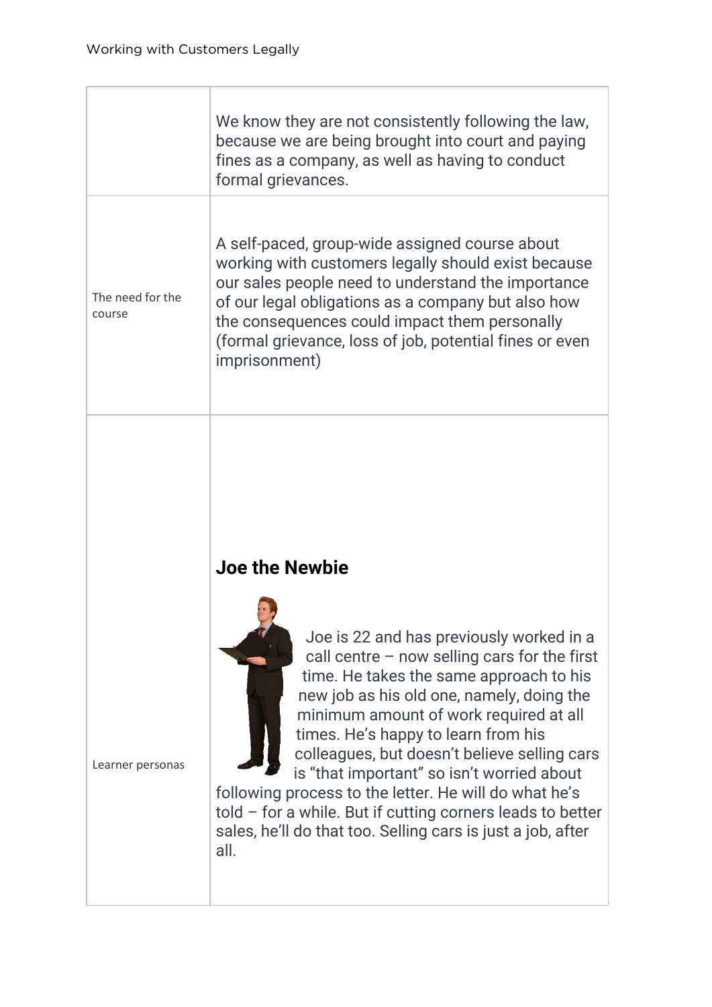|                            | We know they are not consistently following the law,<br>because we are being brought into court and paying<br>fines as a company, as well as having to conduct<br>formal grievances.                                                                                                                                                           |
|----------------------------|------------------------------------------------------------------------------------------------------------------------------------------------------------------------------------------------------------------------------------------------------------------------------------------------------------------------------------------------|
| The need for the<br>course | A self-paced, group-wide assigned course about<br>working with customers legally should exist because<br>our sales people need to understand the importance<br>of our legal obligations as a company but also how<br>the consequences could impact them personally<br>(formal grievance, loss of job, potential fines or even<br>imprisonment) |
|                            |                                                                                                                                                                                                                                                                                                                                                |

## **Joe the Newbie**



Joe is 22 and has previously worked in a call centre – now selling cars for the first time. He takes the same approach to his new job as his old one, namely, doing the minimum amount of work required at all times. He's happy to learn from his colleagues, but doesn't believe selling cars is "that important" so isn't worried about

following process to the letter. He will do what he's told – for a while. But if cutting corners leads to better sales, he'll do that too. Selling cars is just a job, after all.

Learner personas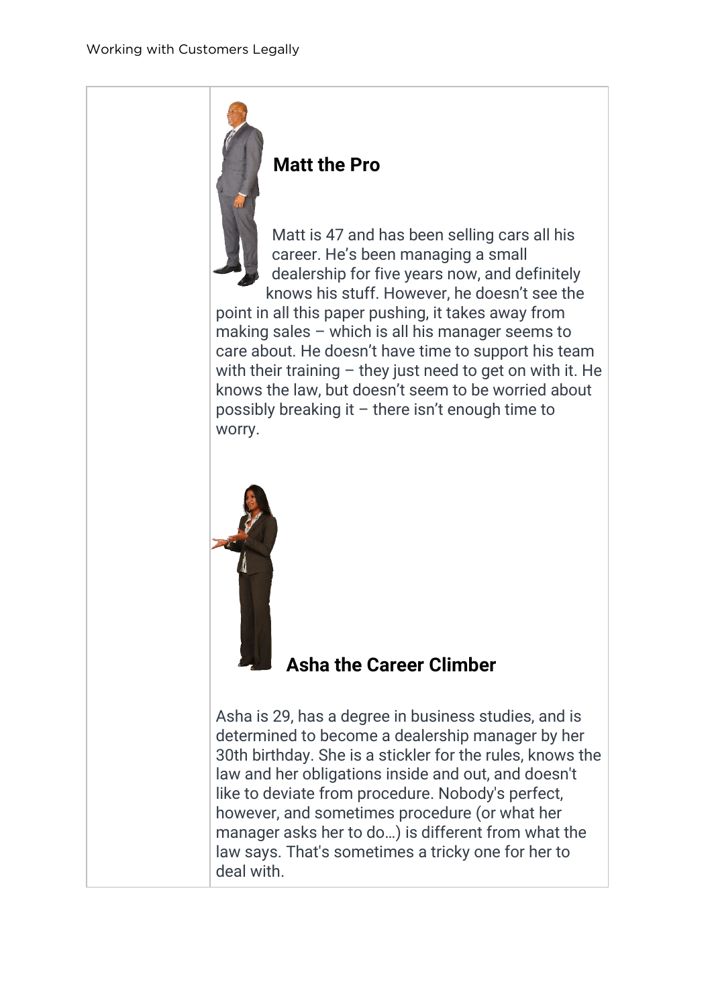

Matt is 47 and has been selling cars all his career. He's been managing a small dealership for five years now, and definitely knows his stuff. However, he doesn't see the

point in all this paper pushing, it takes away from making sales – which is all his manager seems to care about. He doesn't have time to support his team with their training  $-$  they just need to get on with it. He knows the law, but doesn't seem to be worried about possibly breaking it – there isn't enough time to worry.



## **Asha the Career Climber**

Asha is 29, has a degree in business studies, and is determined to become a dealership manager by her 30th birthday. She is a stickler for the rules, knows the law and her obligations inside and out, and doesn't like to deviate from procedure. Nobody's perfect, however, and sometimes procedure (or what her manager asks her to do…) is different from what the law says. That's sometimes a tricky one for her to deal with.